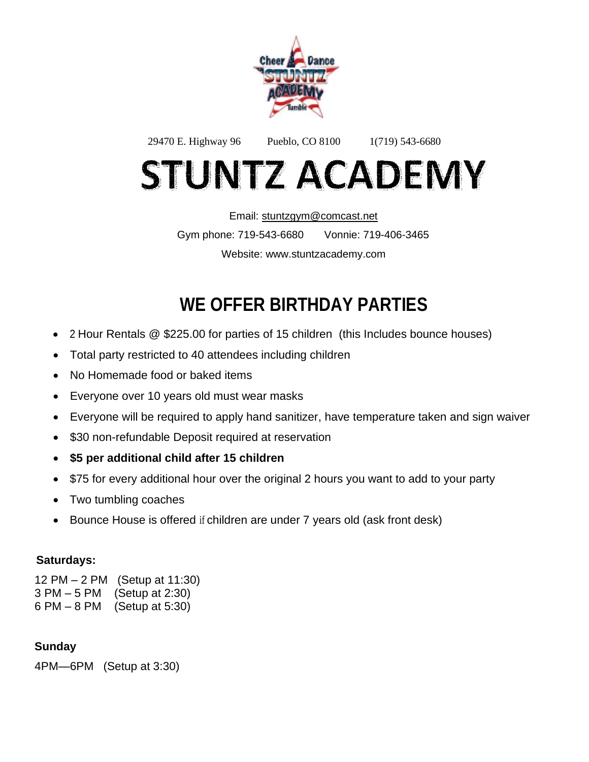

29470 E. Highway 96 Pueblo, CO 8100 1(719) 543-6680 **STUNTZ ACADEMY** 

> Email: [stuntzgym@comcast.net](mailto:stuntzgym@comcast.net) Gym phone: 719-543-6680 Vonnie: 719-406-3465 Website: www.stuntzacademy.com

# **WE OFFER BIRTHDAY PARTIES**

- 2 Hour Rentals @ \$225.00 for parties of 15 children (this Includes bounce houses)
- Total party restricted to 40 attendees including children
- No Homemade food or baked items
- Everyone over 10 years old must wear masks
- Everyone will be required to apply hand sanitizer, have temperature taken and sign waiver
- \$30 non-refundable Deposit required at reservation
- **\$5 per additional child after 15 children**
- \$75 for every additional hour over the original 2 hours you want to add to your party
- Two tumbling coaches
- Bounce House is offered if children are under 7 years old (ask front desk)

### **Saturdays:**

12 PM – 2 PM (Setup at 11:30) 3 PM – 5 PM (Setup at 2:30) 6 PM – 8 PM (Setup at 5:30)

### **Sunday**

4PM—6PM (Setup at 3:30)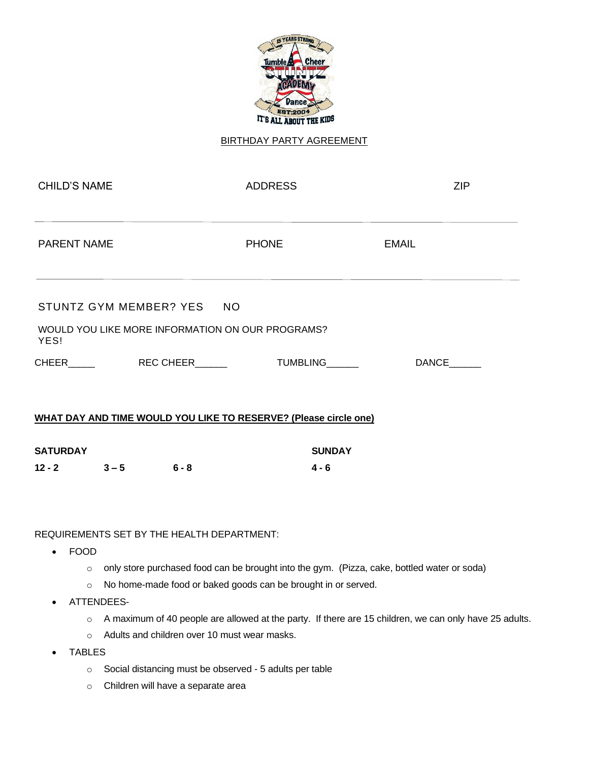

#### BIRTHDAY PARTY AGREEMENT

| <b>CHILD'S NAME</b>                                                                   |  | <b>ADDRESS</b>  | <b>ZIP</b>   |  |
|---------------------------------------------------------------------------------------|--|-----------------|--------------|--|
| <b>PARENT NAME</b>                                                                    |  | <b>PHONE</b>    | <b>EMAIL</b> |  |
| STUNTZ GYM MEMBER? YES NO<br>WOULD YOU LIKE MORE INFORMATION ON OUR PROGRAMS?<br>YES! |  |                 |              |  |
| CHEER REC CHEER                                                                       |  | <b>TUMBLING</b> | <b>DANCE</b> |  |
| WHAT DAY AND TIME WOULD YOU LIKE TO RESERVE? (Please circle one)                      |  |                 |              |  |

| <b>SATURDAY</b> |         |         | <b>SUNDAY</b> |
|-----------------|---------|---------|---------------|
| $12 - 2$        | $3 - 5$ | $6 - 8$ | 4 - 6         |

REQUIREMENTS SET BY THE HEALTH DEPARTMENT:

- FOOD
	- o only store purchased food can be brought into the gym. (Pizza, cake, bottled water or soda)
	- o No home-made food or baked goods can be brought in or served.
- ATTENDEES
	- o A maximum of 40 people are allowed at the party. If there are 15 children, we can only have 25 adults.
	- o Adults and children over 10 must wear masks.
- **TABLES** 
	- o Social distancing must be observed 5 adults per table
	- o Children will have a separate area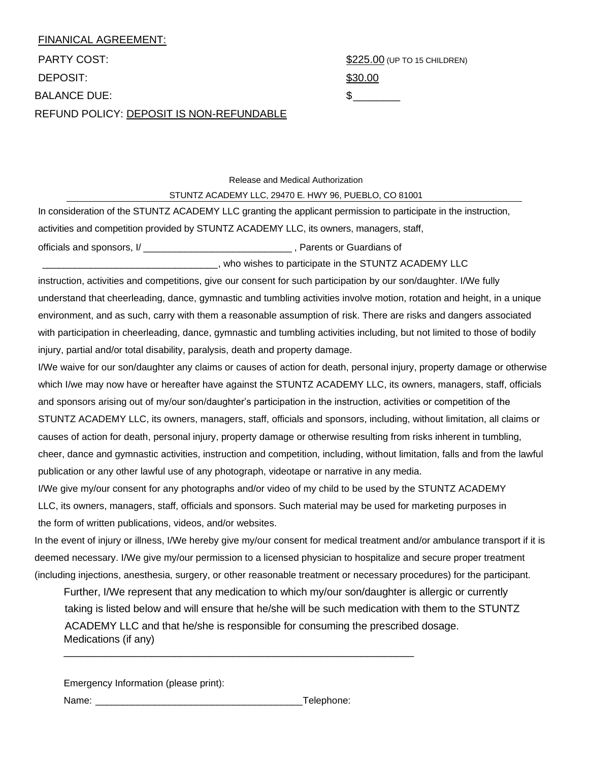### FINANICAL AGREEMENT: PARTY COST:  $$225.00$  (UP TO 15 CHILDREN) DEPOSIT: \$30.00 BALANCE DUE:  $\qquad \qquad$ REFUND POLICY: DEPOSIT IS NON-REFUNDABLE

Release and Medical Authorization

#### STUNTZ ACADEMY LLC, 29470 E. HWY 96, PUEBLO, CO 81001

In consideration of the STUNTZ ACADEMY LLC granting the applicant permission to participate in the instruction, activities and competition provided by STUNTZ ACADEMY LLC, its owners, managers, staff, officials and sponsors, I/ \_\_\_\_\_\_\_\_\_\_\_\_\_\_\_\_\_\_\_\_\_\_\_\_\_\_\_\_ , Parents or Guardians of

#### \_\_\_\_\_\_\_\_\_\_\_\_\_\_\_\_\_\_\_\_\_\_\_\_\_\_\_\_\_\_\_\_\_, who wishes to participate in the STUNTZ ACADEMY LLC

instruction, activities and competitions, give our consent for such participation by our son/daughter. I/We fully understand that cheerleading, dance, gymnastic and tumbling activities involve motion, rotation and height, in a unique environment, and as such, carry with them a reasonable assumption of risk. There are risks and dangers associated with participation in cheerleading, dance, gymnastic and tumbling activities including, but not limited to those of bodily injury, partial and/or total disability, paralysis, death and property damage.

I/We waive for our son/daughter any claims or causes of action for death, personal injury, property damage or otherwise which I/we may now have or hereafter have against the STUNTZ ACADEMY LLC, its owners, managers, staff, officials and sponsors arising out of my/our son/daughter's participation in the instruction, activities or competition of the STUNTZ ACADEMY LLC, its owners, managers, staff, officials and sponsors, including, without limitation, all claims or causes of action for death, personal injury, property damage or otherwise resulting from risks inherent in tumbling, cheer, dance and gymnastic activities, instruction and competition, including, without limitation, falls and from the lawful publication or any other lawful use of any photograph, videotape or narrative in any media.

I/We give my/our consent for any photographs and/or video of my child to be used by the STUNTZ ACADEMY LLC, its owners, managers, staff, officials and sponsors. Such material may be used for marketing purposes in the form of written publications, videos, and/or websites.

In the event of injury or illness, I/We hereby give my/our consent for medical treatment and/or ambulance transport if it is deemed necessary. I/We give my/our permission to a licensed physician to hospitalize and secure proper treatment (including injections, anesthesia, surgery, or other reasonable treatment or necessary procedures) for the participant.

Further, I/We represent that any medication to which my/our son/daughter is allergic or currently taking is listed below and will ensure that he/she will be such medication with them to the STUNTZ ACADEMY LLC and that he/she is responsible for consuming the prescribed dosage. Medications (if any)

\_\_\_\_\_\_\_\_\_\_\_\_\_\_\_\_\_\_\_\_\_\_\_\_\_\_\_\_\_\_\_\_\_\_\_\_\_\_\_\_\_\_\_\_\_\_\_\_\_\_\_\_\_\_\_\_\_\_\_\_

Emergency Information (please print): Name: \_\_\_\_\_\_\_\_\_\_\_\_\_\_\_\_\_\_\_\_\_\_\_\_\_\_\_\_\_\_\_\_\_\_\_\_\_\_\_Telephone: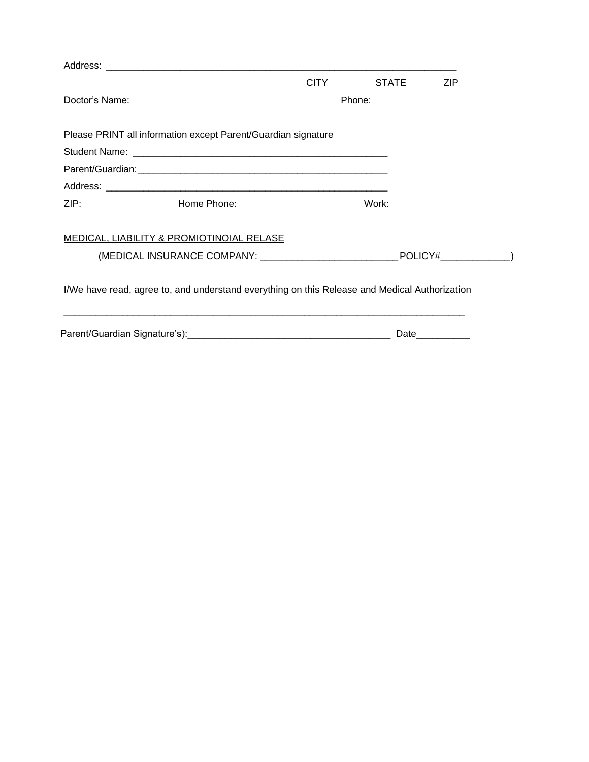|                |                                           | <b>CITY</b>                                                                                                                                                    | <b>STATE</b> | <b>ZIP</b>      |
|----------------|-------------------------------------------|----------------------------------------------------------------------------------------------------------------------------------------------------------------|--------------|-----------------|
| Doctor's Name: |                                           |                                                                                                                                                                | Phone:       |                 |
|                |                                           |                                                                                                                                                                |              |                 |
|                |                                           |                                                                                                                                                                |              |                 |
|                |                                           |                                                                                                                                                                |              |                 |
|                |                                           |                                                                                                                                                                |              |                 |
| ZIP:           | Home Phone:                               |                                                                                                                                                                | Work:        |                 |
|                | MEDICAL, LIABILITY & PROMIOTINOIAL RELASE |                                                                                                                                                                |              |                 |
|                |                                           | Please PRINT all information except Parent/Guardian signature<br>I/We have read, agree to, and understand everything on this Release and Medical Authorization |              |                 |
|                |                                           |                                                                                                                                                                |              |                 |
|                |                                           |                                                                                                                                                                |              | Date___________ |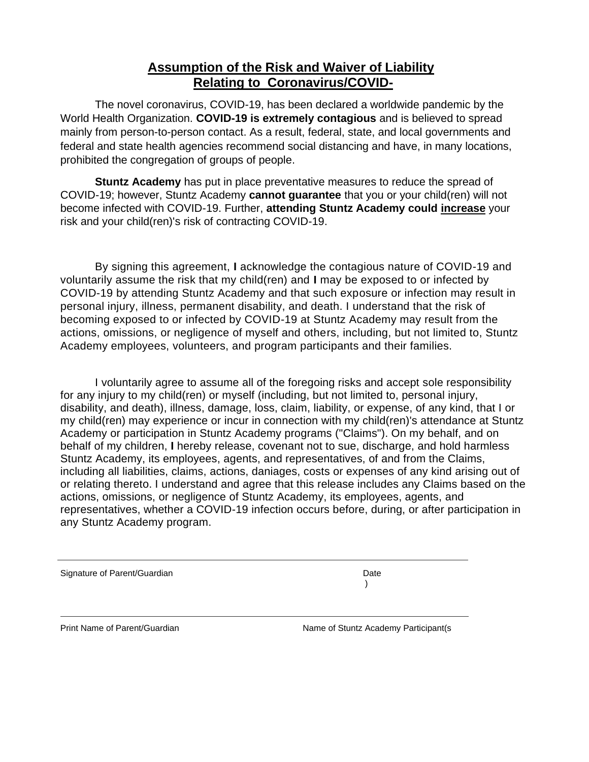#### **Assumption of the Risk and Waiver of Liability Relating to Coronavirus/COVID-**

The novel coronavirus, COVID-19, has been declared a worldwide pandemic by the World Health Organization. **COVID-19 is extremely contagious** and is believed to spread mainly from person-to-person contact. As a result, federal, state, and local governments and federal and state health agencies recommend social distancing and have, in many locations, prohibited the congregation of groups of people.

**Stuntz Academy** has put in place preventative measures to reduce the spread of COVID-19; however, Stuntz Academy **cannot guarantee** that you or your child(ren) will not become infected with COVID-19. Further, **attending Stuntz Academy could increase** your risk and your child(ren)'s risk of contracting COVID-19.

By signing this agreement, **I** acknowledge the contagious nature of COVID-19 and voluntarily assume the risk that my child(ren) and **I** may be exposed to or infected by COVID-19 by attending Stuntz Academy and that such exposure or infection may result in personal injury, illness, permanent disability, and death. I understand that the risk of becoming exposed to or infected by COVID-19 at Stuntz Academy may result from the actions, omissions, or negligence of myself and others, including, but not limited to, Stuntz Academy employees, volunteers, and program participants and their families.

I voluntarily agree to assume all of the foregoing risks and accept sole responsibility for any injury to my child(ren) or myself (including, but not limited to, personal injury, disability, and death), illness, damage, loss, claim, liability, or expense, of any kind, that I or my child(ren) may experience or incur in connection with my child(ren)'s attendance at Stuntz Academy or participation in Stuntz Academy programs ("Claims"). On my behalf, and on behalf of my children, **I** hereby release, covenant not to sue, discharge, and hold harmless Stuntz Academy, its employees, agents, and representatives, of and from the Claims, including all liabilities, claims, actions, daniages, costs or expenses of any kind arising out of or relating thereto. I understand and agree that this release includes any Claims based on the actions, omissions, or negligence of Stuntz Academy, its employees, agents, and representatives, whether a COVID-19 infection occurs before, during, or after participation in any Stuntz Academy program.

Signature of Parent/Guardian Date Controller and Date Date Date Date

)

Print Name of Parent/Guardian Name of Stuntz Academy Participant(s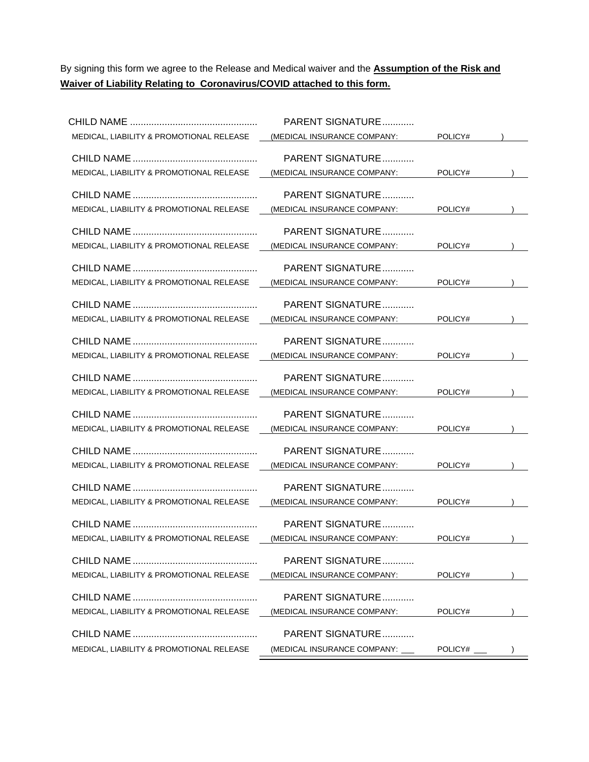By signing this form we agree to the Release and Medical waiver and the **Assumption of the Risk and Waiver of Liability Relating to Coronavirus/COVID attached to this form.**

|                                                     | PARENT SIGNATURE               |         |  |
|-----------------------------------------------------|--------------------------------|---------|--|
| MEDICAL, LIABILITY & PROMOTIONAL RELEASE            | (MEDICAL INSURANCE COMPANY:    | POLICY# |  |
|                                                     | PARENT SIGNATURE               |         |  |
| MEDICAL, LIABILITY & PROMOTIONAL RELEASE            | (MEDICAL INSURANCE COMPANY:    | POLICY# |  |
|                                                     |                                |         |  |
|                                                     | PARENT SIGNATURE               |         |  |
| MEDICAL, LIABILITY & PROMOTIONAL RELEASE            | (MEDICAL INSURANCE COMPANY:    | POLICY# |  |
|                                                     | PARENT SIGNATURE               |         |  |
|                                                     |                                | POLICY# |  |
| MEDICAL, LIABILITY & PROMOTIONAL RELEASE            | (MEDICAL INSURANCE COMPANY:    |         |  |
|                                                     | PARENT SIGNATURE               |         |  |
| MEDICAL, LIABILITY & PROMOTIONAL RELEASE            | (MEDICAL INSURANCE COMPANY:    | POLICY# |  |
|                                                     |                                |         |  |
|                                                     | PARENT SIGNATURE               |         |  |
| MEDICAL, LIABILITY & PROMOTIONAL RELEASE            | (MEDICAL INSURANCE COMPANY:    | POLICY# |  |
|                                                     | PARENT SIGNATURE               |         |  |
| MEDICAL, LIABILITY & PROMOTIONAL RELEASE            | (MEDICAL INSURANCE COMPANY:    | POLICY# |  |
|                                                     |                                |         |  |
|                                                     | PARENT SIGNATURE               |         |  |
| MEDICAL, LIABILITY & PROMOTIONAL RELEASE            | (MEDICAL INSURANCE COMPANY:    | POLICY# |  |
|                                                     | PARENT SIGNATURE               |         |  |
| MEDICAL, LIABILITY & PROMOTIONAL RELEASE            | (MEDICAL INSURANCE COMPANY:    | POLICY# |  |
|                                                     |                                |         |  |
|                                                     | PARENT SIGNATURE               |         |  |
| MEDICAL, LIABILITY & PROMOTIONAL RELEASE            | (MEDICAL INSURANCE COMPANY:    | POLICY# |  |
|                                                     | PARENT SIGNATURE               |         |  |
| MEDICAL, LIABILITY & PROMOTIONAL RELEASE            | (MEDICAL INSURANCE COMPANY:    | POLICY# |  |
|                                                     |                                |         |  |
|                                                     | <b>PARENT SIGNATURE</b>        |         |  |
| MEDICAL, LIABILITY & PROMOTIONAL RELEASE            | (MEDICAL INSURANCE COMPANY:    | POLICY# |  |
|                                                     | PARENT SIGNATURE               |         |  |
| MEDICAL, LIABILITY & PROMOTIONAL RELEASE            | (MEDICAL INSURANCE COMPANY:    | POLICY# |  |
|                                                     |                                |         |  |
|                                                     | PARENT SIGNATURE               |         |  |
| <b>MEDICAL, LIABILITY &amp; PROMOTIONAL RELEASE</b> | (MEDICAL INSURANCE COMPANY:    | POLICY# |  |
|                                                     | PARENT SIGNATURE               |         |  |
| MEDICAL, LIABILITY & PROMOTIONAL RELEASE            | (MEDICAL INSURANCE COMPANY: __ | POLICY# |  |
|                                                     |                                |         |  |